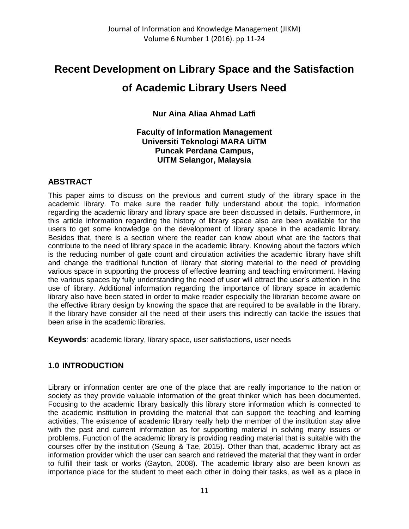# **Recent Development on Library Space and the Satisfaction of Academic Library Users Need**

**Nur Aina Aliaa Ahmad Latfi**

#### **Faculty of Information Management Universiti Teknologi MARA UiTM Puncak Perdana Campus, UiTM Selangor, Malaysia**

## **ABSTRACT**

This paper aims to discuss on the previous and current study of the library space in the academic library. To make sure the reader fully understand about the topic, information regarding the academic library and library space are been discussed in details. Furthermore, in this article information regarding the history of library space also are been available for the users to get some knowledge on the development of library space in the academic library. Besides that, there is a section where the reader can know about what are the factors that contribute to the need of library space in the academic library. Knowing about the factors which is the reducing number of gate count and circulation activities the academic library have shift and change the traditional function of library that storing material to the need of providing various space in supporting the process of effective learning and teaching environment. Having the various spaces by fully understanding the need of user will attract the user's attention in the use of library. Additional information regarding the importance of library space in academic library also have been stated in order to make reader especially the librarian become aware on the effective library design by knowing the space that are required to be available in the library. If the library have consider all the need of their users this indirectly can tackle the issues that been arise in the academic libraries.

**Keywords***:* academic library, library space, user satisfactions, user needs

# **1.0 INTRODUCTION**

Library or information center are one of the place that are really importance to the nation or society as they provide valuable information of the great thinker which has been documented. Focusing to the academic library basically this library store information which is connected to the academic institution in providing the material that can support the teaching and learning activities. The existence of academic library really help the member of the institution stay alive with the past and current information as for supporting material in solving many issues or problems. Function of the academic library is providing reading material that is suitable with the courses offer by the institution (Seung & Tae, 2015). Other than that, academic library act as information provider which the user can search and retrieved the material that they want in order to fulfill their task or works (Gayton, 2008). The academic library also are been known as importance place for the student to meet each other in doing their tasks, as well as a place in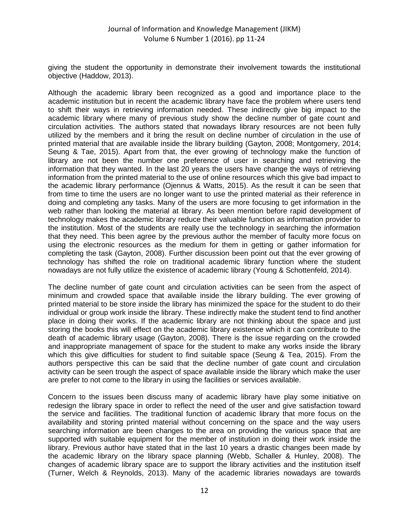giving the student the opportunity in demonstrate their involvement towards the institutional objective (Haddow, 2013).

Although the academic library been recognized as a good and importance place to the academic institution but in recent the academic library have face the problem where users tend to shift their ways in retrieving information needed. These indirectly give big impact to the academic library where many of previous study show the decline number of gate count and circulation activities. The authors stated that nowadays library resources are not been fully utilized by the members and it bring the result on decline number of circulation in the use of printed material that are available inside the library building (Gayton, 2008; Montgomery, 2014; Seung & Tae, 2015). Apart from that, the ever growing of technology make the function of library are not been the number one preference of user in searching and retrieving the information that they wanted. In the last 20 years the users have change the ways of retrieving information from the printed material to the use of online resources which this give bad impact to the academic library performance (Ojennus & Watts, 2015). As the result it can be seen that from time to time the users are no longer want to use the printed material as their reference in doing and completing any tasks. Many of the users are more focusing to get information in the web rather than looking the material at library. As been mention before rapid development of technology makes the academic library reduce their valuable function as information provider to the institution. Most of the students are really use the technology in searching the information that they need. This been agree by the previous author the member of faculty more focus on using the electronic resources as the medium for them in getting or gather information for completing the task (Gayton, 2008). Further discussion been point out that the ever growing of technology has shifted the role on traditional academic library function where the student nowadays are not fully utilize the existence of academic library (Young & Schottenfeld, 2014).

The decline number of gate count and circulation activities can be seen from the aspect of minimum and crowded space that available inside the library building. The ever growing of printed material to be store inside the library has minimized the space for the student to do their individual or group work inside the library. These indirectly make the student tend to find another place in doing their works. If the academic library are not thinking about the space and just storing the books this will effect on the academic library existence which it can contribute to the death of academic library usage (Gayton, 2008). There is the issue regarding on the crowded and inappropriate management of space for the student to make any works inside the library which this give difficulties for student to find suitable space (Seung & Tea, 2015). From the authors perspective this can be said that the decline number of gate count and circulation activity can be seen trough the aspect of space available inside the library which make the user are prefer to not come to the library in using the facilities or services available.

Concern to the issues been discuss many of academic library have play some initiative on redesign the library space in order to reflect the need of the user and give satisfaction toward the service and facilities. The traditional function of academic library that more focus on the availability and storing printed material without concerning on the space and the way users searching information are been changes to the area on providing the various space that are supported with suitable equipment for the member of institution in doing their work inside the library. Previous author have stated that in the last 10 years a drastic changes been made by the academic library on the library space planning (Webb, Schaller & Hunley, 2008). The changes of academic library space are to support the library activities and the institution itself (Turner, Welch & Reynolds, 2013). Many of the academic libraries nowadays are towards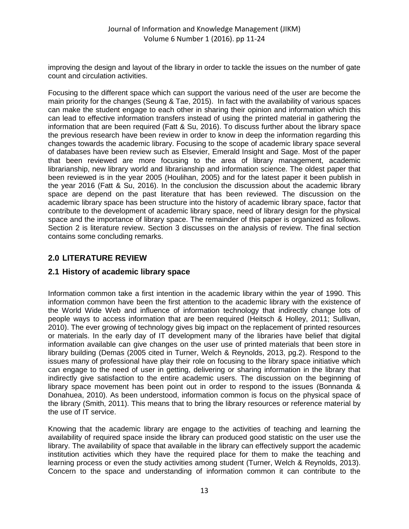improving the design and layout of the library in order to tackle the issues on the number of gate count and circulation activities.

Focusing to the different space which can support the various need of the user are become the main priority for the changes (Seung & Tae, 2015). In fact with the availability of various spaces can make the student engage to each other in sharing their opinion and information which this can lead to effective information transfers instead of using the printed material in gathering the information that are been required (Fatt & Su, 2016). To discuss further about the library space the previous research have been review in order to know in deep the information regarding this changes towards the academic library. Focusing to the scope of academic library space several of databases have been review such as Elsevier, Emerald Insight and Sage. Most of the paper that been reviewed are more focusing to the area of library management, academic librarianship, new library world and librarianship and information science. The oldest paper that been reviewed is in the year 2005 (Houlihan, 2005) and for the latest paper it been publish in the year 2016 (Fatt & Su, 2016). In the conclusion the discussion about the academic library space are depend on the past literature that has been reviewed. The discussion on the academic library space has been structure into the history of academic library space, factor that contribute to the development of academic library space, need of library design for the physical space and the importance of library space. The remainder of this paper is organized as follows. Section 2 is literature review. Section 3 discusses on the analysis of review. The final section contains some concluding remarks.

## **2.0 LITERATURE REVIEW**

## **2.1 History of academic library space**

Information common take a first intention in the academic library within the year of 1990. This information common have been the first attention to the academic library with the existence of the World Wide Web and influence of information technology that indirectly change lots of people ways to access information that are been required (Heitsch & Holley, 2011; Sullivan, 2010). The ever growing of technology gives big impact on the replacement of printed resources or materials. In the early day of IT development many of the libraries have belief that digital information available can give changes on the user use of printed materials that been store in library building (Demas (2005 cited in Turner, Welch & Reynolds, 2013, pg.2). Respond to the issues many of professional have play their role on focusing to the library space initiative which can engage to the need of user in getting, delivering or sharing information in the library that indirectly give satisfaction to the entire academic users. The discussion on the beginning of library space movement has been point out in order to respond to the issues (Bonnanda & Donahuea, 2010). As been understood, information common is focus on the physical space of the library (Smith, 2011). This means that to bring the library resources or reference material by the use of IT service.

Knowing that the academic library are engage to the activities of teaching and learning the availability of required space inside the library can produced good statistic on the user use the library. The availability of space that available in the library can effectively support the academic institution activities which they have the required place for them to make the teaching and learning process or even the study activities among student (Turner, Welch & Reynolds, 2013). Concern to the space and understanding of information common it can contribute to the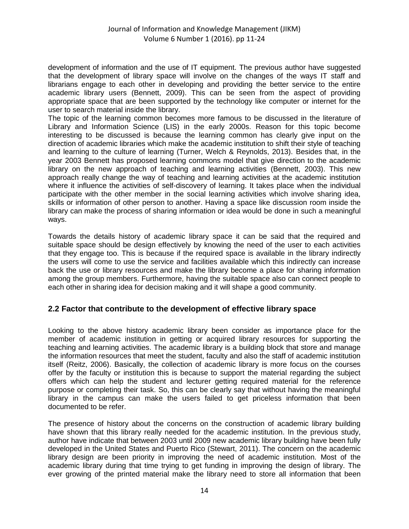development of information and the use of IT equipment. The previous author have suggested that the development of library space will involve on the changes of the ways IT staff and librarians engage to each other in developing and providing the better service to the entire academic library users (Bennett, 2009). This can be seen from the aspect of providing appropriate space that are been supported by the technology like computer or internet for the user to search material inside the library.

The topic of the learning common becomes more famous to be discussed in the literature of Library and Information Science (LIS) in the early 2000s. Reason for this topic become interesting to be discussed is because the learning common has clearly give input on the direction of academic libraries which make the academic institution to shift their style of teaching and learning to the culture of learning (Turner, Welch & Reynolds, 2013). Besides that, in the year 2003 Bennett has proposed learning commons model that give direction to the academic library on the new approach of teaching and learning activities (Bennett, 2003). This new approach really change the way of teaching and learning activities at the academic institution where it influence the activities of self-discovery of learning. It takes place when the individual participate with the other member in the social learning activities which involve sharing idea, skills or information of other person to another. Having a space like discussion room inside the library can make the process of sharing information or idea would be done in such a meaningful ways.

Towards the details history of academic library space it can be said that the required and suitable space should be design effectively by knowing the need of the user to each activities that they engage too. This is because if the required space is available in the library indirectly the users will come to use the service and facilities available which this indirectly can increase back the use or library resources and make the library become a place for sharing information among the group members. Furthermore, having the suitable space also can connect people to each other in sharing idea for decision making and it will shape a good community.

#### **2.2 Factor that contribute to the development of effective library space**

Looking to the above history academic library been consider as importance place for the member of academic institution in getting or acquired library resources for supporting the teaching and learning activities. The academic library is a building block that store and manage the information resources that meet the student, faculty and also the staff of academic institution itself (Reitz, 2006). Basically, the collection of academic library is more focus on the courses offer by the faculty or institution this is because to support the material regarding the subject offers which can help the student and lecturer getting required material for the reference purpose or completing their task. So, this can be clearly say that without having the meaningful library in the campus can make the users failed to get priceless information that been documented to be refer.

The presence of history about the concerns on the construction of academic library building have shown that this library really needed for the academic institution. In the previous study, author have indicate that between 2003 until 2009 new academic library building have been fully developed in the United States and Puerto Rico (Stewart, 2011). The concern on the academic library design are been priority in improving the need of academic institution. Most of the academic library during that time trying to get funding in improving the design of library. The ever growing of the printed material make the library need to store all information that been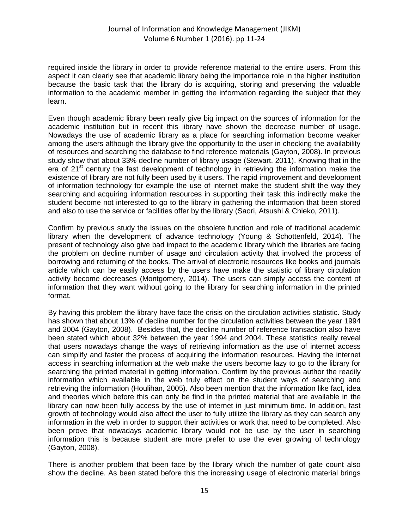required inside the library in order to provide reference material to the entire users. From this aspect it can clearly see that academic library being the importance role in the higher institution because the basic task that the library do is acquiring, storing and preserving the valuable information to the academic member in getting the information regarding the subject that they learn.

Even though academic library been really give big impact on the sources of information for the academic institution but in recent this library have shown the decrease number of usage. Nowadays the use of academic library as a place for searching information become weaker among the users although the library give the opportunity to the user in checking the availability of resources and searching the database to find reference materials (Gayton, 2008). In previous study show that about 33% decline number of library usage (Stewart, 2011). Knowing that in the era of  $21<sup>st</sup>$  century the fast development of technology in retrieving the information make the existence of library are not fully been used by it users. The rapid improvement and development of information technology for example the use of internet make the student shift the way they searching and acquiring information resources in supporting their task this indirectly make the student become not interested to go to the library in gathering the information that been stored and also to use the service or facilities offer by the library (Saori, Atsushi & Chieko, 2011).

Confirm by previous study the issues on the obsolete function and role of traditional academic library when the development of advance technology (Young & Schottenfeld, 2014). The present of technology also give bad impact to the academic library which the libraries are facing the problem on decline number of usage and circulation activity that involved the process of borrowing and returning of the books. The arrival of electronic resources like books and journals article which can be easily access by the users have make the statistic of library circulation activity become decreases (Montgomery, 2014). The users can simply access the content of information that they want without going to the library for searching information in the printed format.

By having this problem the library have face the crisis on the circulation activities statistic. Study has shown that about 13% of decline number for the circulation activities between the year 1994 and 2004 (Gayton, 2008). Besides that, the decline number of reference transaction also have been stated which about 32% between the year 1994 and 2004. These statistics really reveal that users nowadays change the ways of retrieving information as the use of internet access can simplify and faster the process of acquiring the information resources. Having the internet access in searching information at the web make the users become lazy to go to the library for searching the printed material in getting information. Confirm by the previous author the readily information which available in the web truly effect on the student ways of searching and retrieving the information (Houlihan, 2005). Also been mention that the information like fact, idea and theories which before this can only be find in the printed material that are available in the library can now been fully access by the use of internet in just minimum time. In addition, fast growth of technology would also affect the user to fully utilize the library as they can search any information in the web in order to support their activities or work that need to be completed. Also been prove that nowadays academic library would not be use by the user in searching information this is because student are more prefer to use the ever growing of technology (Gayton, 2008).

There is another problem that been face by the library which the number of gate count also show the decline. As been stated before this the increasing usage of electronic material brings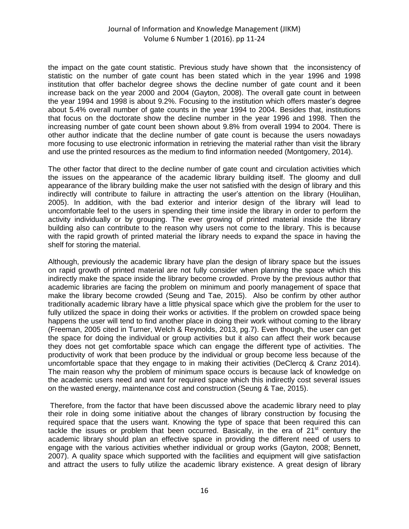the impact on the gate count statistic. Previous study have shown that the inconsistency of statistic on the number of gate count has been stated which in the year 1996 and 1998 institution that offer bachelor degree shows the decline number of gate count and it been increase back on the year 2000 and 2004 (Gayton, 2008). The overall gate count in between the year 1994 and 1998 is about 9.2%. Focusing to the institution which offers master's degree about 5.4% overall number of gate counts in the year 1994 to 2004. Besides that, institutions that focus on the doctorate show the decline number in the year 1996 and 1998. Then the increasing number of gate count been shown about 9.8% from overall 1994 to 2004. There is other author indicate that the decline number of gate count is because the users nowadays more focusing to use electronic information in retrieving the material rather than visit the library and use the printed resources as the medium to find information needed (Montgomery, 2014).

The other factor that direct to the decline number of gate count and circulation activities which the issues on the appearance of the academic library building itself. The gloomy and dull appearance of the library building make the user not satisfied with the design of library and this indirectly will contribute to failure in attracting the user's attention on the library (Houlihan, 2005). In addition, with the bad exterior and interior design of the library will lead to uncomfortable feel to the users in spending their time inside the library in order to perform the activity individually or by grouping. The ever growing of printed material inside the library building also can contribute to the reason why users not come to the library. This is because with the rapid growth of printed material the library needs to expand the space in having the shelf for storing the material.

Although, previously the academic library have plan the design of library space but the issues on rapid growth of printed material are not fully consider when planning the space which this indirectly make the space inside the library become crowded. Prove by the previous author that academic libraries are facing the problem on minimum and poorly management of space that make the library become crowded (Seung and Tae, 2015). Also be confirm by other author traditionally academic library have a little physical space which give the problem for the user to fully utilized the space in doing their works or activities. If the problem on crowded space being happens the user will tend to find another place in doing their work without coming to the library (Freeman, 2005 cited in Turner, Welch & Reynolds, 2013, pg.7). Even though, the user can get the space for doing the individual or group activities but it also can affect their work because they does not get comfortable space which can engage the different type of activities. The productivity of work that been produce by the individual or group become less because of the uncomfortable space that they engage to in making their activities (DeClercq & Cranz 2014). The main reason why the problem of minimum space occurs is because lack of knowledge on the academic users need and want for required space which this indirectly cost several issues on the wasted energy, maintenance cost and construction (Seung & Tae, 2015).

Therefore, from the factor that have been discussed above the academic library need to play their role in doing some initiative about the changes of library construction by focusing the required space that the users want. Knowing the type of space that been required this can tackle the issues or problem that been occurred. Basically, in the era of  $21<sup>st</sup>$  century the academic library should plan an effective space in providing the different need of users to engage with the various activities whether individual or group works (Gayton, 2008; Bennett, 2007). A quality space which supported with the facilities and equipment will give satisfaction and attract the users to fully utilize the academic library existence. A great design of library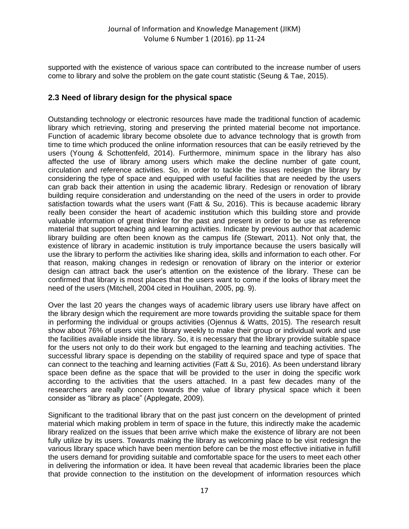supported with the existence of various space can contributed to the increase number of users come to library and solve the problem on the gate count statistic (Seung & Tae, 2015).

#### **2.3 Need of library design for the physical space**

Outstanding technology or electronic resources have made the traditional function of academic library which retrieving, storing and preserving the printed material become not importance. Function of academic library become obsolete due to advance technology that is growth from time to time which produced the online information resources that can be easily retrieved by the users (Young & Schottenfeld, 2014). Furthermore, minimum space in the library has also affected the use of library among users which make the decline number of gate count, circulation and reference activities. So, in order to tackle the issues redesign the library by considering the type of space and equipped with useful facilities that are needed by the users can grab back their attention in using the academic library. Redesign or renovation of library building require consideration and understanding on the need of the users in order to provide satisfaction towards what the users want (Fatt & Su, 2016). This is because academic library really been consider the heart of academic institution which this building store and provide valuable information of great thinker for the past and present in order to be use as reference material that support teaching and learning activities. Indicate by previous author that academic library building are often been known as the campus life (Stewart, 2011). Not only that, the existence of library in academic institution is truly importance because the users basically will use the library to perform the activities like sharing idea, skills and information to each other. For that reason, making changes in redesign or renovation of library on the interior or exterior design can attract back the user's attention on the existence of the library. These can be confirmed that library is most places that the users want to come if the looks of library meet the need of the users (Mitchell, 2004 cited in Houlihan, 2005, pg. 9).

Over the last 20 years the changes ways of academic library users use library have affect on the library design which the requirement are more towards providing the suitable space for them in performing the individual or groups activities (Ojennus & Watts, 2015). The research result show about 76% of users visit the library weekly to make their group or individual work and use the facilities available inside the library. So, it is necessary that the library provide suitable space for the users not only to do their work but engaged to the learning and teaching activities. The successful library space is depending on the stability of required space and type of space that can connect to the teaching and learning activities (Fatt & Su, 2016). As been understand library space been define as the space that will be provided to the user in doing the specific work according to the activities that the users attached. In a past few decades many of the researchers are really concern towards the value of library physical space which it been consider as "library as place" (Applegate, 2009).

Significant to the traditional library that on the past just concern on the development of printed material which making problem in term of space in the future, this indirectly make the academic library realized on the issues that been arrive which make the existence of library are not been fully utilize by its users. Towards making the library as welcoming place to be visit redesign the various library space which have been mention before can be the most effective initiative in fulfill the users demand for providing suitable and comfortable space for the users to meet each other in delivering the information or idea. It have been reveal that academic libraries been the place that provide connection to the institution on the development of information resources which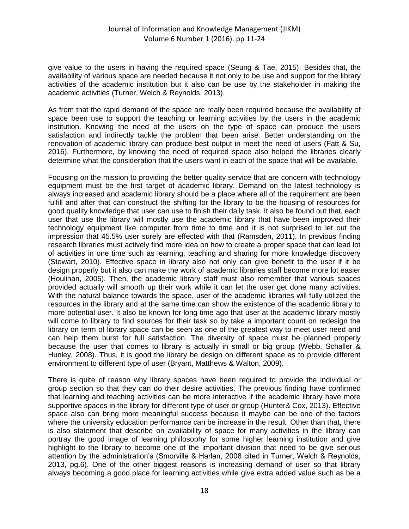give value to the users in having the required space (Seung & Tae, 2015). Besides that, the availability of various space are needed because it not only to be use and support for the library activities of the academic institution but it also can be use by the stakeholder in making the academic activities (Turner, Welch & Reynolds, 2013).

As from that the rapid demand of the space are really been required because the availability of space been use to support the teaching or learning activities by the users in the academic institution. Knowing the need of the users on the type of space can produce the users satisfaction and indirectly tackle the problem that been arise. Better understanding on the renovation of academic library can produce best output in meet the need of users (Fatt & Su, 2016). Furthermore, by knowing the need of required space also helped the libraries clearly determine what the consideration that the users want in each of the space that will be available.

Focusing on the mission to providing the better quality service that are concern with technology equipment must be the first target of academic library. Demand on the latest technology is always increased and academic library should be a place where all of the requirement are been fulfill and after that can construct the shifting for the library to be the housing of resources for good quality knowledge that user can use to finish their daily task. It also be found out that, each user that use the library will mostly use the academic library that have been improved their technology equipment like computer from time to time and it is not surprised to let out the impression that 45.5% user surely are effected with that (Ramsden, 2011). In previous finding research libraries must actively find more idea on how to create a proper space that can lead lot of activities in one time such as learning, teaching and sharing for more knowledge discovery (Stewart, 2010). Effective space in library also not only can give benefit to the user if it be design properly but it also can make the work of academic libraries staff become more lot easier (Houlihan, 2005). Then, the academic library staff must also remember that various spaces provided actually will smooth up their work while it can let the user get done many activities. With the natural balance towards the space, user of the academic libraries will fully utilized the resources in the library and at the same time can show the existence of the academic library to more potential user. It also be known for long time ago that user at the academic library mostly will come to library to find sources for their task so by take a important count on redesign the library on term of library space can be seen as one of the greatest way to meet user need and can help them burst for full satisfaction. The diversity of space must be planned properly because the user that comes to library is actually in small or big group (Webb, Schaller & Hunley, 2008). Thus, it is good the library be design on different space as to provide different environment to different type of user (Bryant, Matthews & Walton, 2009).

There is quite of reason why library spaces have been required to provide the individual or group section so that they can do their desire activities. The previous finding have confirmed that learning and teaching activities can be more interactive if the academic library have more supportive spaces in the library for different type of user or group (Hunter& Cox, 2013). Effective space also can bring more meaningful success because it maybe can be one of the factors where the university education performance can be increase in the result. Other than that, there is also statement that describe on availability of space for many activities in the library can portray the good image of learning philosophy for some higher learning institution and give highlight to the library to become one of the important division that need to be give serious attention by the administration's (Smorville & Harlan, 2008 cited in Turner, Welch & Reynolds, 2013, pg.6). One of the other biggest reasons is increasing demand of user so that library always becoming a good place for learning activities while give extra added value such as be a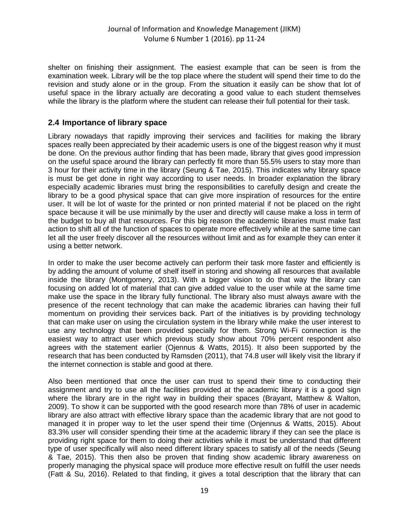shelter on finishing their assignment. The easiest example that can be seen is from the examination week. Library will be the top place where the student will spend their time to do the revision and study alone or in the group. From the situation it easily can be show that lot of useful space in the library actually are decorating a good value to each student themselves while the library is the platform where the student can release their full potential for their task.

#### **2.4 Importance of library space**

Library nowadays that rapidly improving their services and facilities for making the library spaces really been appreciated by their academic users is one of the biggest reason why it must be done. On the previous author finding that has been made, library that gives good impression on the useful space around the library can perfectly fit more than 55.5% users to stay more than 3 hour for their activity time in the library (Seung & Tae, 2015). This indicates why library space is must be get done in right way according to user needs. In broader explanation the library especially academic libraries must bring the responsibilities to carefully design and create the library to be a good physical space that can give more inspiration of resources for the entire user. It will be lot of waste for the printed or non printed material if not be placed on the right space because it will be use minimally by the user and directly will cause make a loss in term of the budget to buy all that resources. For this big reason the academic libraries must make fast action to shift all of the function of spaces to operate more effectively while at the same time can let all the user freely discover all the resources without limit and as for example they can enter it using a better network.

In order to make the user become actively can perform their task more faster and efficiently is by adding the amount of volume of shelf itself in storing and showing all resources that available inside the library (Montgomery, 2013). With a bigger vision to do that way the library can focusing on added lot of material that can give added value to the user while at the same time make use the space in the library fully functional. The library also must always aware with the presence of the recent technology that can make the academic libraries can having their full momentum on providing their services back. Part of the initiatives is by providing technology that can make user on using the circulation system in the library while make the user interest to use any technology that been provided specially for them. Strong Wi-Fi connection is the easiest way to attract user which previous study show about 70% percent respondent also agrees with the statement earlier (Ojennus & Watts, 2015). It also been supported by the research that has been conducted by Ramsden (2011), that 74.8 user will likely visit the library if the internet connection is stable and good at there.

Also been mentioned that once the user can trust to spend their time to conducting their assignment and try to use all the facilities provided at the academic library it is a good sign where the library are in the right way in building their spaces (Brayant, Matthew & Walton, 2009). To show it can be supported with the good research more than 78% of user in academic library are also attract with effective library space than the academic library that are not good to managed it in proper way to let the user spend their time (Onjennus & Watts, 2015). About 83.3% user will consider spending their time at the academic library if they can see the place is providing right space for them to doing their activities while it must be understand that different type of user specifically will also need different library spaces to satisfy all of the needs (Seung & Tae, 2015). This then also be proven that finding show academic library awareness on properly managing the physical space will produce more effective result on fulfill the user needs (Fatt & Su, 2016). Related to that finding, it gives a total description that the library that can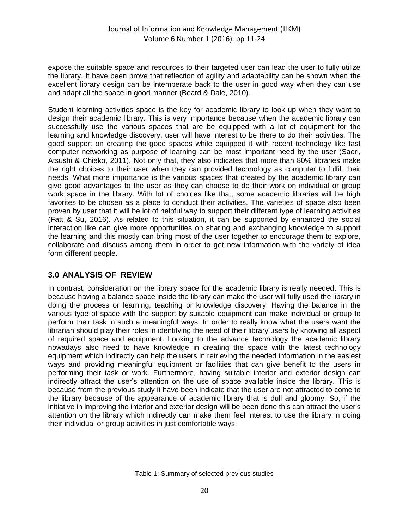expose the suitable space and resources to their targeted user can lead the user to fully utilize the library. It have been prove that reflection of agility and adaptability can be shown when the excellent library design can be intemperate back to the user in good way when they can use and adapt all the space in good manner (Beard & Dale, 2010).

Student learning activities space is the key for academic library to look up when they want to design their academic library. This is very importance because when the academic library can successfully use the various spaces that are be equipped with a lot of equipment for the learning and knowledge discovery, user will have interest to be there to do their activities. The good support on creating the good spaces while equipped it with recent technology like fast computer networking as purpose of learning can be most important need by the user (Saori, Atsushi & Chieko, 2011). Not only that, they also indicates that more than 80% libraries make the right choices to their user when they can provided technology as computer to fulfill their needs. What more importance is the various spaces that created by the academic library can give good advantages to the user as they can choose to do their work on individual or group work space in the library. With lot of choices like that, some academic libraries will be high favorites to be chosen as a place to conduct their activities. The varieties of space also been proven by user that it will be lot of helpful way to support their different type of learning activities (Fatt & Su, 2016). As related to this situation, it can be supported by enhanced the social interaction like can give more opportunities on sharing and exchanging knowledge to support the learning and this mostly can bring most of the user together to encourage them to explore, collaborate and discuss among them in order to get new information with the variety of idea form different people.

## **3.0 ANALYSIS OF REVIEW**

In contrast, consideration on the library space for the academic library is really needed. This is because having a balance space inside the library can make the user will fully used the library in doing the process or learning, teaching or knowledge discovery. Having the balance in the various type of space with the support by suitable equipment can make individual or group to perform their task in such a meaningful ways. In order to really know what the users want the librarian should play their roles in identifying the need of their library users by knowing all aspect of required space and equipment. Looking to the advance technology the academic library nowadays also need to have knowledge in creating the space with the latest technology equipment which indirectly can help the users in retrieving the needed information in the easiest ways and providing meaningful equipment or facilities that can give benefit to the users in performing their task or work. Furthermore, having suitable interior and exterior design can indirectly attract the user's attention on the use of space available inside the library. This is because from the previous study it have been indicate that the user are not attracted to come to the library because of the appearance of academic library that is dull and gloomy. So, if the initiative in improving the interior and exterior design will be been done this can attract the user's attention on the library which indirectly can make them feel interest to use the library in doing their individual or group activities in just comfortable ways.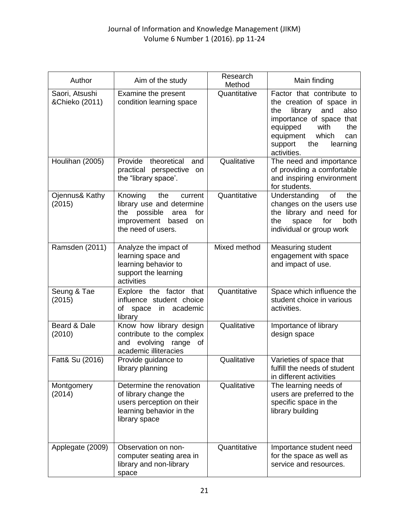| Author                           | Aim of the study                                                                                                                       | Research<br>Method | Main finding                                                                                                                                                                                                            |
|----------------------------------|----------------------------------------------------------------------------------------------------------------------------------------|--------------------|-------------------------------------------------------------------------------------------------------------------------------------------------------------------------------------------------------------------------|
| Saori, Atsushi<br>&Chieko (2011) | Examine the present<br>condition learning space                                                                                        | Quantitative       | Factor that contribute to<br>the creation of space in<br>library<br>and<br>the<br>also<br>importance of space that<br>the<br>equipped<br>with<br>which<br>equipment<br>can<br>support<br>the<br>learning<br>activities. |
| Houlihan (2005)                  | Provide<br>theoretical<br>and<br>practical perspective<br>on<br>the "library space'.                                                   | Qualitative        | The need and importance<br>of providing a comfortable<br>and inspiring environment<br>for students.                                                                                                                     |
| Ojennus& Kathy<br>(2015)         | Knowing<br>the<br>current<br>library use and determine<br>the possible<br>for<br>area<br>improvement based<br>on<br>the need of users. | Quantitative       | Understanding<br>of<br>the<br>changes on the users use<br>the library and need for<br>both<br>the<br>space<br>for<br>individual or group work                                                                           |
| Ramsden (2011)                   | Analyze the impact of<br>learning space and<br>learning behavior to<br>support the learning<br>activities                              | Mixed method       | Measuring student<br>engagement with space<br>and impact of use.                                                                                                                                                        |
| Seung & Tae<br>(2015)            | Explore the factor that<br>influence student choice<br>in academic<br>of space<br>library                                              | Quantitative       | Space which influence the<br>student choice in various<br>activities.                                                                                                                                                   |
| Beard & Dale<br>(2010)           | Know how library design<br>contribute to the complex<br>and evolving range<br>of<br>academic illiteracies                              | Qualitative        | Importance of library<br>design space                                                                                                                                                                                   |
| Fatt& Su (2016)                  | Provide guidance to<br>library planning                                                                                                | Qualitative        | Varieties of space that<br>fulfill the needs of student<br>in different activities                                                                                                                                      |
| Montgomery<br>(2014)             | Determine the renovation<br>of library change the<br>users perception on their<br>learning behavior in the<br>library space            | Qualitative        | The learning needs of<br>users are preferred to the<br>specific space in the<br>library building                                                                                                                        |
| Applegate (2009)                 | Observation on non-<br>computer seating area in<br>library and non-library<br>space                                                    | Quantitative       | Importance student need<br>for the space as well as<br>service and resources.                                                                                                                                           |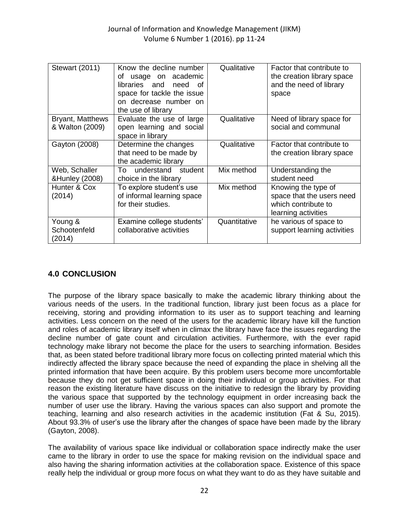| <b>Stewart (2011)</b>               | Know the decline number<br>of usage on academic<br>libraries and<br>need<br>Ωf<br>space for tackle the issue<br>on decrease number on<br>the use of library | Qualitative  | Factor that contribute to<br>the creation library space<br>and the need of library<br>space    |
|-------------------------------------|-------------------------------------------------------------------------------------------------------------------------------------------------------------|--------------|------------------------------------------------------------------------------------------------|
| Bryant, Matthews<br>& Walton (2009) | Evaluate the use of large<br>open learning and social<br>space in library                                                                                   | Qualitative  | Need of library space for<br>social and communal                                               |
| Gayton (2008)                       | Determine the changes<br>that need to be made by<br>the academic library                                                                                    | Qualitative  | Factor that contribute to<br>the creation library space                                        |
| Web, Schaller<br>&Hunley (2008)     | understand student<br>To:<br>choice in the library                                                                                                          | Mix method   | Understanding the<br>student need                                                              |
| Hunter & Cox<br>(2014)              | To explore student's use<br>of informal learning space<br>for their studies.                                                                                | Mix method   | Knowing the type of<br>space that the users need<br>which contribute to<br>learning activities |
| Young &<br>Schootenfeld<br>(2014)   | Examine college students'<br>collaborative activities                                                                                                       | Quantitative | he various of space to<br>support learning activities                                          |

# **4.0 CONCLUSION**

The purpose of the library space basically to make the academic library thinking about the various needs of the users. In the traditional function, library just been focus as a place for receiving, storing and providing information to its user as to support teaching and learning activities. Less concern on the need of the users for the academic library have kill the function and roles of academic library itself when in climax the library have face the issues regarding the decline number of gate count and circulation activities. Furthermore, with the ever rapid technology make library not become the place for the users to searching information. Besides that, as been stated before traditional library more focus on collecting printed material which this indirectly affected the library space because the need of expanding the place in shelving all the printed information that have been acquire. By this problem users become more uncomfortable because they do not get sufficient space in doing their individual or group activities. For that reason the existing literature have discuss on the initiative to redesign the library by providing the various space that supported by the technology equipment in order increasing back the number of user use the library. Having the various spaces can also support and promote the teaching, learning and also research activities in the academic institution (Fat & Su, 2015). About 93.3% of user's use the library after the changes of space have been made by the library (Gayton, 2008).

The availability of various space like individual or collaboration space indirectly make the user came to the library in order to use the space for making revision on the individual space and also having the sharing information activities at the collaboration space. Existence of this space really help the individual or group more focus on what they want to do as they have suitable and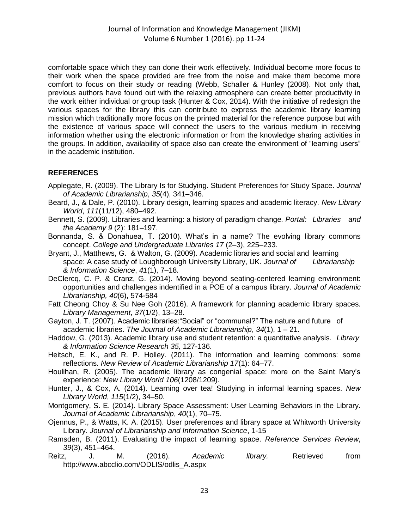comfortable space which they can done their work effectively. Individual become more focus to their work when the space provided are free from the noise and make them become more comfort to focus on their study or reading (Webb, Schaller & Hunley (2008). Not only that, previous authors have found out with the relaxing atmosphere can create better productivity in the work either individual or group task (Hunter & Cox, 2014). With the initiative of redesign the various spaces for the library this can contribute to express the academic library learning mission which traditionally more focus on the printed material for the reference purpose but with the existence of various space will connect the users to the various medium in receiving information whether using the electronic information or from the knowledge sharing activities in the groups. In addition, availability of space also can create the environment of "learning users" in the academic institution.

#### **REFERENCES**

- Applegate, R. (2009). The Library Is for Studying. Student Preferences for Study Space. *Journal of Academic Librarianship*, *35*(4), 341–346.
- Beard, J., & Dale, P. (2010). Library design, learning spaces and academic literacy. *New Library World*, *111*(11/12), 480–492.
- Bennett, S. (2009). Libraries and learning: a history of paradigm change*. Portal: Libraries and the Academy 9* (2): 181–197.
- Bonnanda, S. & Donahuea, T. (2010). What's in a name? The evolving library commons concept. *College and Undergraduate Libraries 17* (2–3), 225–233.
- Bryant, J., Matthews, G. & Walton, G. (2009). Academic libraries and social and learning space: A case study of Loughborough University Library, UK. *Journal of Librarianship & Information Science*, *41*(1), 7–18.
- DeClercq, C. P. & Cranz, G. (2014). Moving beyond seating-centered learning environment: opportunities and challenges indentified in a POE of a campus library. *Journal of Academic Librarianship, 40*(6), 574-584
- Fatt Cheong Choy & Su Nee Goh (2016). A framework for planning academic library spaces. *Library Management*, *37*(1/2), 13–28.
- Gayton, J. T. (2007). Academic libraries:"Social" or "communal?" The nature and future of academic libraries. *The Journal of Academic Librarianship*, *34*(1), 1 – 21.
- Haddow, G. (2013). Academic library use and student retention: a quantitative analysis. *Library & Information Science Research 35,* 127-136.
- Heitsch, E. K., and R. P. Holley. (2011). The information and learning commons: some reflections. *New Review of Academic Librarianship 17*(1): 64–77.
- Houlihan, R. (2005). The academic library as congenial space: more on the Saint Mary's experience: *New Library World 106*(1208/1209).
- Hunter, J., & Cox, A. (2014). Learning over tea! Studying in informal learning spaces. *New Library World*, *115*(1/2), 34–50.
- Montgomery, S. E. (2014). Library Space Assessment: User Learning Behaviors in the Library. *Journal of Academic Librarianship*, *40*(1), 70–75.
- Ojennus, P., & Watts, K. A. (2015). User preferences and library space at Whitworth University Library. *Journal of Librarianship and Information Science*, 1-15
- Ramsden, B. (2011). Evaluating the impact of learning space. *Reference Services Review*, *39*(3), 451–464.
- Reitz, J. M. (2016). *Academic library.* Retrieved from http://www.abcclio.com/ODLIS/odlis\_A.aspx